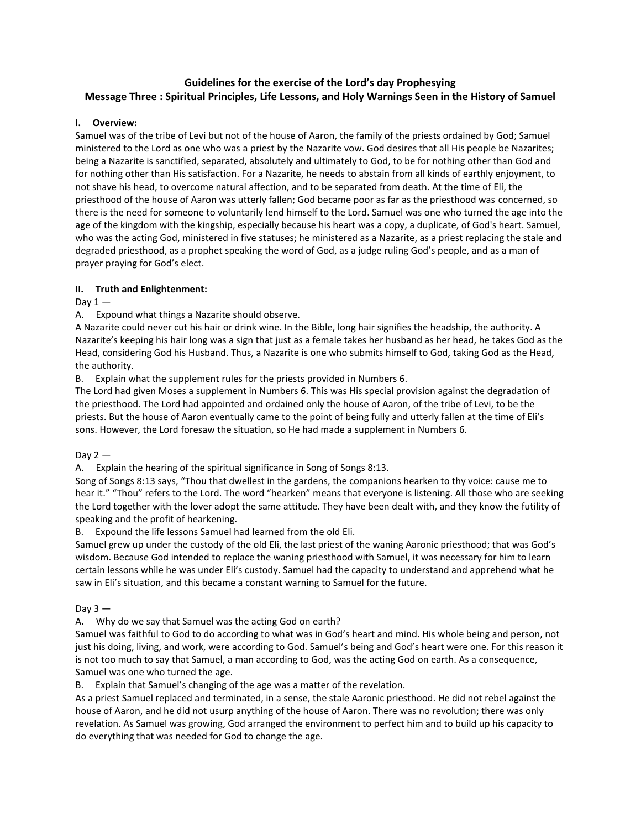# **Guidelines for the exercise of the Lord's day Prophesying Message Three : Spiritual Principles, Life Lessons, and Holy Warnings Seen in the History of Samuel**

## **I. Overview:**

Samuel was of the tribe of Levi but not of the house of Aaron, the family of the priests ordained by God; Samuel ministered to the Lord as one who was a priest by the Nazarite vow. God desires that all His people be Nazarites; being a Nazarite is sanctified, separated, absolutely and ultimately to God, to be for nothing other than God and for nothing other than His satisfaction. For a Nazarite, he needs to abstain from all kinds of earthly enjoyment, to not shave his head, to overcome natural affection, and to be separated from death. At the time of Eli, the priesthood of the house of Aaron was utterly fallen; God became poor as far as the priesthood was concerned, so there is the need for someone to voluntarily lend himself to the Lord. Samuel was one who turned the age into the age of the kingdom with the kingship, especially because his heart was a copy, a duplicate, of God's heart. Samuel, who was the acting God, ministered in five statuses; he ministered as a Nazarite, as a priest replacing the stale and degraded priesthood, as a prophet speaking the word of God, as a judge ruling God's people, and as a man of prayer praying for God's elect.

## **II. Truth and Enlightenment:**

Day  $1 -$ 

A. Expound what things a Nazarite should observe.

A Nazarite could never cut his hair or drink wine. In the Bible, long hair signifies the headship, the authority. A Nazarite's keeping his hair long was a sign that just as a female takes her husband as her head, he takes God as the Head, considering God his Husband. Thus, a Nazarite is one who submits himself to God, taking God as the Head, the authority.

B. Explain what the supplement rules for the priests provided in Numbers 6.

The Lord had given Moses a supplement in Numbers 6. This was His special provision against the degradation of the priesthood. The Lord had appointed and ordained only the house of Aaron, of the tribe of Levi, to be the priests. But the house of Aaron eventually came to the point of being fully and utterly fallen at the time of Eli's sons. However, the Lord foresaw the situation, so He had made a supplement in Numbers 6.

Day  $2-$ 

A. Explain the hearing of the spiritual significance in Song of Songs 8:13.

Song of Songs 8:13 says, "Thou that dwellest in the gardens, the companions hearken to thy voice: cause me to hear it." "Thou" refers to the Lord. The word "hearken" means that everyone is listening. All those who are seeking the Lord together with the lover adopt the same attitude. They have been dealt with, and they know the futility of speaking and the profit of hearkening.

B. Expound the life lessons Samuel had learned from the old Eli.

Samuel grew up under the custody of the old Eli, the last priest of the waning Aaronic priesthood; that was God's wisdom. Because God intended to replace the waning priesthood with Samuel, it was necessary for him to learn certain lessons while he was under Eli's custody. Samuel had the capacity to understand and apprehend what he saw in Eli's situation, and this became a constant warning to Samuel for the future.

Dav  $3 -$ 

A. Why do we say that Samuel was the acting God on earth?

Samuel was faithful to God to do according to what was in God's heart and mind. His whole being and person, not just his doing, living, and work, were according to God. Samuel's being and God's heart were one. For this reason it is not too much to say that Samuel, a man according to God, was the acting God on earth. As a consequence, Samuel was one who turned the age.

B. Explain that Samuel's changing of the age was a matter of the revelation.

As a priest Samuel replaced and terminated, in a sense, the stale Aaronic priesthood. He did not rebel against the house of Aaron, and he did not usurp anything of the house of Aaron. There was no revolution; there was only revelation. As Samuel was growing, God arranged the environment to perfect him and to build up his capacity to do everything that was needed for God to change the age.